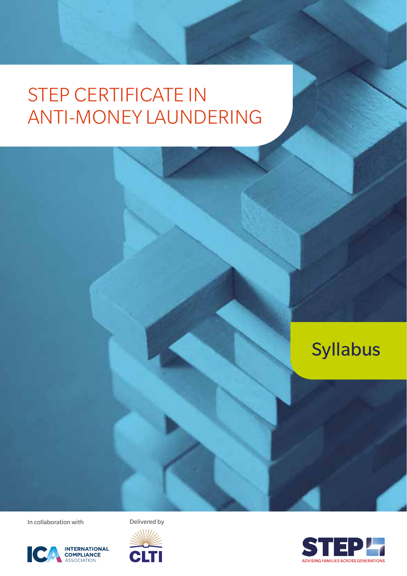

In collaboration with Delivered by





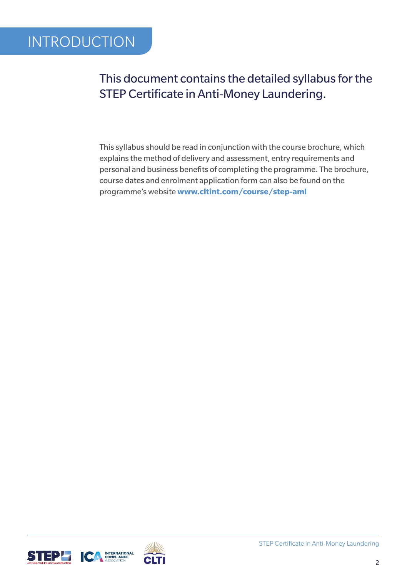### This document contains the detailed syllabus for the STEP Certificate in Anti-Money Laundering.

This syllabus should be read in conjunction with the course brochure, which explains the method of delivery and assessment, entry requirements and personal and business benefits of completing the programme. The brochure, course dates and enrolment application form can also be found on the programme's website **www.cltint.com/course/step-aml**



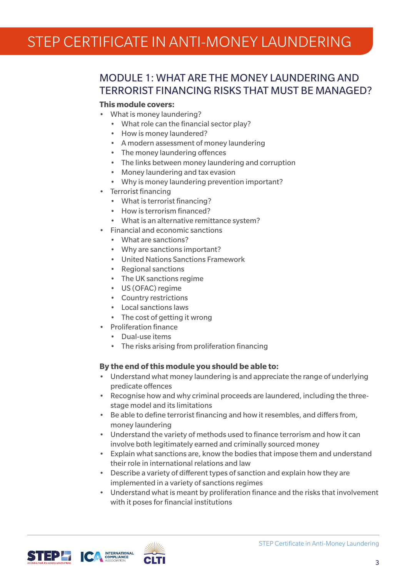### MODULE 1: WHAT ARE THE MONEY LAUNDERING AND TERRORIST FINANCING RISKS THAT MUST BE MANAGED?

#### **This module covers:**

- What is money laundering?
	- What role can the financial sector play?
	- How is money laundered?
	- A modern assessment of money laundering
	- The money laundering offences
	- The links between money laundering and corruption
	- Money laundering and tax evasion
	- Why is money laundering prevention important?
- Terrorist financing
	- What is terrorist financing?
	- How is terrorism financed?
	- What is an alternative remittance system?
- Financial and economic sanctions
	- What are sanctions?
	- Why are sanctions important?
	- United Nations Sanctions Framework
	- Regional sanctions
	- The UK sanctions regime
	- US (OFAC) regime
	- Country restrictions
	- Local sanctions laws
	- The cost of getting it wrong
- Proliferation finance
	- Dual-use items
	- The risks arising from proliferation financing

#### **By the end of this module you should be able to:**

- Understand what money laundering is and appreciate the range of underlying predicate offences
- Recognise how and why criminal proceeds are laundered, including the threestage model and its limitations
- Be able to define terrorist financing and how it resembles, and differs from, money laundering
- Understand the variety of methods used to finance terrorism and how it can involve both legitimately earned and criminally sourced money
- Explain what sanctions are, know the bodies that impose them and understand their role in international relations and law
- Describe a variety of different types of sanction and explain how they are implemented in a variety of sanctions regimes
- Understand what is meant by proliferation finance and the risks that involvement with it poses for financial institutions



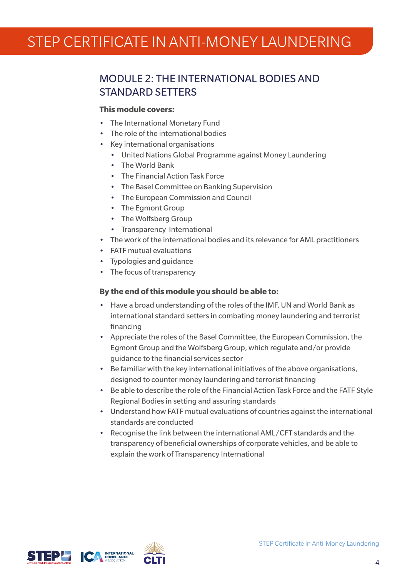### MODULE 2: THE INTERNATIONAL BODIES AND STANDARD SETTERS

#### **This module covers:**

- The International Monetary Fund
- The role of the international bodies
- Key international organisations
	- United Nations Global Programme against Money Laundering
	- The World Bank
	- The Financial Action Task Force
	- The Basel Committee on Banking Supervision
	- The European Commission and Council
	- The Eamont Group
	- The Wolfsberg Group
	- Transparency International
- The work of the international bodies and its relevance for AML practitioners
- FATF mutual evaluations
- Typologies and guidance
- The focus of transparency

#### **By the end of this module you should be able to:**

- Have a broad understanding of the roles of the IMF, UN and World Bank as international standard setters in combating money laundering and terrorist financing
- Appreciate the roles of the Basel Committee, the European Commission, the Egmont Group and the Wolfsberg Group, which regulate and/or provide guidance to the financial services sector
- Be familiar with the key international initiatives of the above organisations, designed to counter money laundering and terrorist financing
- Be able to describe the role of the Financial Action Task Force and the FATF Style Regional Bodies in setting and assuring standards
- Understand how FATF mutual evaluations of countries against the international standards are conducted
- Recognise the link between the international AML/CFT standards and the transparency of beneficial ownerships of corporate vehicles, and be able to explain the work of Transparency International



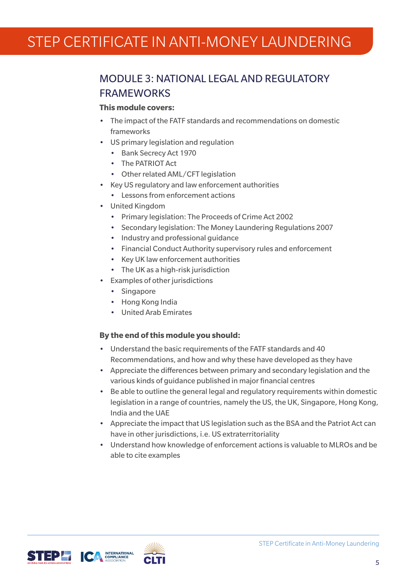### MODULE 3: NATIONAL LEGAL AND REGULATORY **FRAMEWORKS**

#### **This module covers:**

- The impact of the FATF standards and recommendations on domestic frameworks
- US primary legislation and regulation
	- Bank Secrecy Act 1970
	- The PATRIOT Act
	- Other related AML/CFT legislation
- Key US regulatory and law enforcement authorities
	- Lessons from enforcement actions
- United Kingdom
	- Primary legislation: The Proceeds of Crime Act 2002
	- Secondary legislation: The Money Laundering Regulations 2007
	- Industry and professional guidance
	- Financial Conduct Authority supervisory rules and enforcement
	- Key UK law enforcement authorities
	- The UK as a high-risk jurisdiction
- Examples of other jurisdictions
	- Singapore
	- Hong Kong India
	- United Arab Emirates

- Understand the basic requirements of the FATF standards and 40 Recommendations, and how and why these have developed as they have
- Appreciate the differences between primary and secondary legislation and the various kinds of guidance published in major financial centres
- Be able to outline the general legal and regulatory requirements within domestic legislation in a range of countries, namely the US, the UK, Singapore, Hong Kong, India and the UAE
- Appreciate the impact that US legislation such as the BSA and the Patriot Act can have in other jurisdictions, i.e. US extraterritoriality
- Understand how knowledge of enforcement actions is valuable to MLROs and be able to cite examples





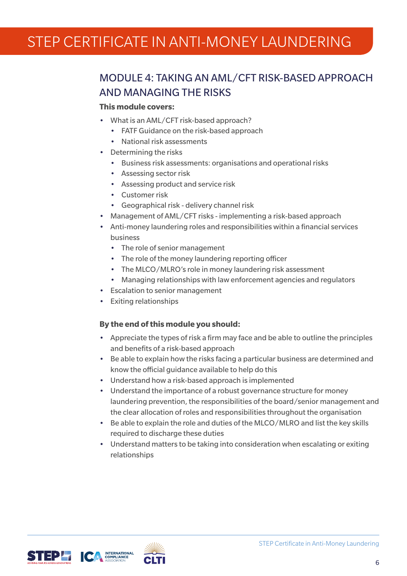### MODULE 4: TAKING AN AML/CFT RISK-BASED APPROACH AND MANAGING THE RISKS

#### **This module covers:**

- What is an AML/CFT risk-based approach?
	- FATF Guidance on the risk-based approach
	- National risk assessments
- Determining the risks
	- Business risk assessments: organisations and operational risks
	- Assessing sector risk
	- Assessing product and service risk
	- Customer risk
	- Geographical risk delivery channel risk
- Management of AML/CFT risks implementing a risk-based approach
- Anti-money laundering roles and responsibilities within a financial services business
	- The role of senior management
	- The role of the money laundering reporting officer
	- The MLCO/MLRO's role in money laundering risk assessment
	- Managing relationships with law enforcement agencies and regulators
- Escalation to senior management
- Exiting relationships

- Appreciate the types of risk a firm may face and be able to outline the principles and benefits of a risk-based approach
- Be able to explain how the risks facing a particular business are determined and know the official guidance available to help do this
- Understand how a risk-based approach is implemented
- Understand the importance of a robust governance structure for money laundering prevention, the responsibilities of the board/senior management and the clear allocation of roles and responsibilities throughout the organisation
- Be able to explain the role and duties of the MLCO/MLRO and list the key skills required to discharge these duties
- Understand matters to be taking into consideration when escalating or exiting relationships





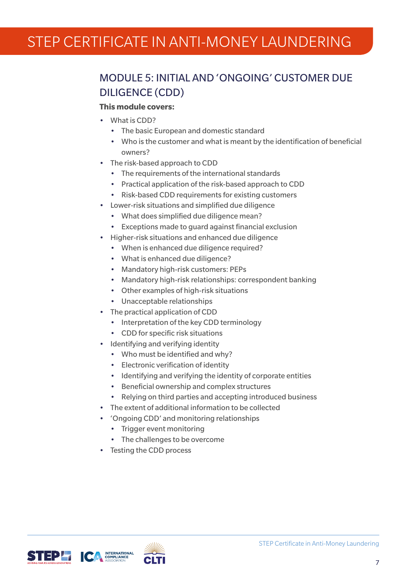### MODULE 5: INITIAL AND 'ONGOING' CUSTOMER DUE DILIGENCE (CDD)

#### **This module covers:**

- What is CDD?
	- The basic European and domestic standard
	- Who is the customer and what is meant by the identification of beneficial owners?
- The risk-based approach to CDD
	- The requirements of the international standards
	- Practical application of the risk-based approach to CDD
	- Risk-based CDD requirements for existing customers
- Lower-risk situations and simplified due diligence
	- What does simplified due diligence mean?
	- Exceptions made to guard against financial exclusion
- Higher-risk situations and enhanced due diligence
	- When is enhanced due diligence required?
	- What is enhanced due diligence?
	- Mandatory high-risk customers: PEPs
	- Mandatory high-risk relationships: correspondent banking
	- Other examples of high-risk situations
	- Unacceptable relationships
- The practical application of CDD
	- Interpretation of the key CDD terminology
	- CDD for specific risk situations
- Identifying and verifying identity
	- Who must be identified and why?
	- Electronic verification of identity
	- Identifying and verifying the identity of corporate entities
	- Beneficial ownership and complex structures
	- Relying on third parties and accepting introduced business
- The extent of additional information to be collected
- 'Ongoing CDD' and monitoring relationships
	- Trigger event monitoring
	- The challenges to be overcome
- Testing the CDD process



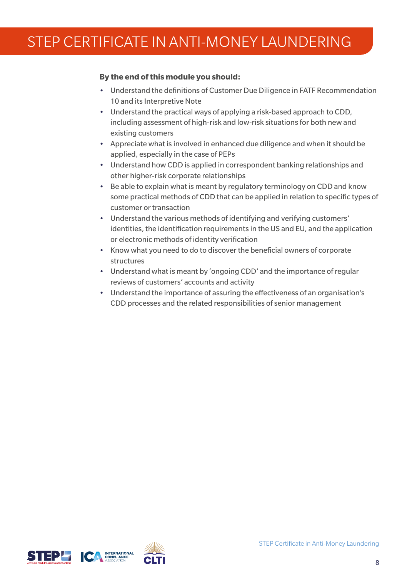- Understand the definitions of Customer Due Diligence in FATF Recommendation 10 and its Interpretive Note
- Understand the practical ways of applying a risk-based approach to CDD, including assessment of high-risk and low-risk situations for both new and existing customers
- Appreciate what is involved in enhanced due diligence and when it should be applied, especially in the case of PEPs
- Understand how CDD is applied in correspondent banking relationships and other higher-risk corporate relationships
- Be able to explain what is meant by regulatory terminology on CDD and know some practical methods of CDD that can be applied in relation to specific types of customer or transaction
- Understand the various methods of identifying and verifying customers' identities, the identification requirements in the US and EU, and the application or electronic methods of identity verification
- Know what you need to do to discover the beneficial owners of corporate structures
- Understand what is meant by 'ongoing CDD' and the importance of regular reviews of customers' accounts and activity
- Understand the importance of assuring the effectiveness of an organisation's CDD processes and the related responsibilities of senior management



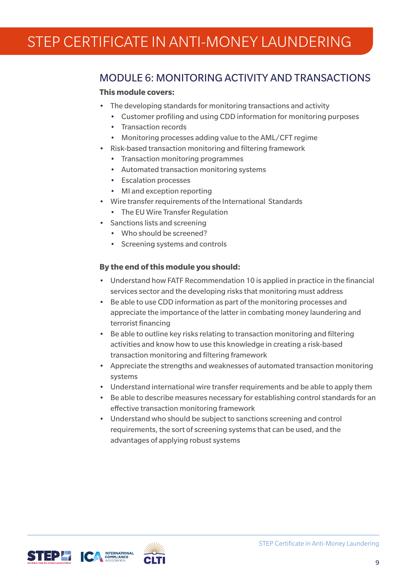### MODULE 6: MONITORING ACTIVITY AND TRANSACTIONS

#### **This module covers:**

- The developing standards for monitoring transactions and activity
	- Customer profiling and using CDD information for monitoring purposes
	- Transaction records
	- Monitoring processes adding value to the AML/CFT regime
- Risk-based transaction monitoring and filtering framework
	- Transaction monitoring programmes
	- Automated transaction monitoring systems
	- Escalation processes
	- MI and exception reporting
- Wire transfer requirements of the International Standards
	- The EU Wire Transfer Regulation
- Sanctions lists and screening
	- Who should be screened?
	- Screening systems and controls

- Understand how FATF Recommendation 10 is applied in practice in the financial services sector and the developing risks that monitoring must address
- Be able to use CDD information as part of the monitoring processes and appreciate the importance of the latter in combating money laundering and terrorist financing
- Be able to outline key risks relating to transaction monitoring and filtering activities and know how to use this knowledge in creating a risk-based transaction monitoring and filtering framework
- Appreciate the strengths and weaknesses of automated transaction monitoring systems
- Understand international wire transfer requirements and be able to apply them
- Be able to describe measures necessary for establishing control standards for an effective transaction monitoring framework
- Understand who should be subject to sanctions screening and control requirements, the sort of screening systems that can be used, and the advantages of applying robust systems



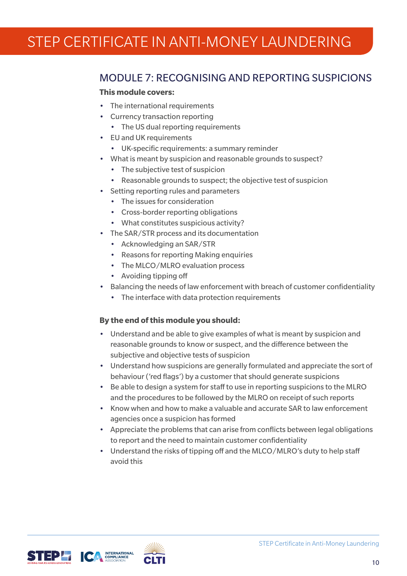### MODULE 7: RECOGNISING AND REPORTING SUSPICIONS

#### **This module covers:**

- The international requirements
- Currency transaction reporting
	- The US dual reporting requirements
- EU and UK requirements
	- UK-specific requirements: a summary reminder
- What is meant by suspicion and reasonable grounds to suspect?
	- The subjective test of suspicion
	- Reasonable grounds to suspect; the objective test of suspicion
- Setting reporting rules and parameters
	- The issues for consideration
	- Cross-border reporting obligations
	- What constitutes suspicious activity?
- The SAR/STR process and its documentation
	- Acknowledging an SAR/STR
	- Reasons for reporting Making enquiries
	- The MLCO/MLRO evaluation process
	- Avoiding tipping off
- Balancing the needs of law enforcement with breach of customer confidentiality
	- The interface with data protection requirements

- Understand and be able to give examples of what is meant by suspicion and reasonable grounds to know or suspect, and the difference between the subjective and objective tests of suspicion
- Understand how suspicions are generally formulated and appreciate the sort of behaviour ('red flags') by a customer that should generate suspicions
- Be able to design a system for staff to use in reporting suspicions to the MLRO and the procedures to be followed by the MLRO on receipt of such reports
- Know when and how to make a valuable and accurate SAR to law enforcement agencies once a suspicion has formed
- Appreciate the problems that can arise from conflicts between legal obligations to report and the need to maintain customer confidentiality
- Understand the risks of tipping off and the MLCO/MLRO's duty to help staff avoid this



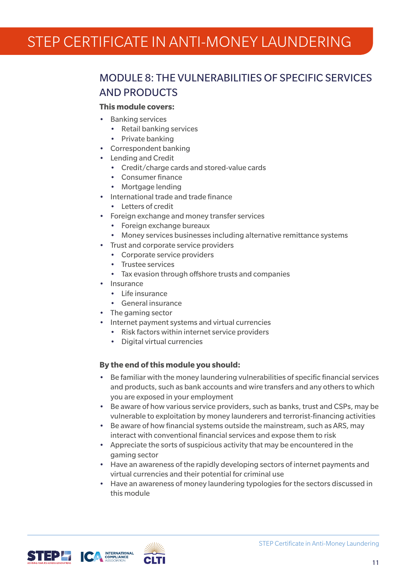### MODULE 8: THE VULNERABILITIES OF SPECIFIC SERVICES AND PRODUCTS

#### **This module covers:**

- Banking services
	- Retail banking services
	- Private banking
- Correspondent banking
- Lending and Credit
	- Credit/charge cards and stored-value cards
	- Consumer finance
	- Mortgage lending
- International trade and trade finance
	- Letters of credit
- Foreign exchange and money transfer services
	- Foreign exchange bureaux
	- Money services businesses including alternative remittance systems
- Trust and corporate service providers
	- Corporate service providers
	- Trustee services
	- Tax evasion through offshore trusts and companies
- Insurance
	- Life insurance
	- General insurance
- The gaming sector
- Internet payment systems and virtual currencies
	- Risk factors within internet service providers
	- Digital virtual currencies

- Be familiar with the money laundering vulnerabilities of specific financial services and products, such as bank accounts and wire transfers and any others to which you are exposed in your employment
- Be aware of how various service providers, such as banks, trust and CSPs, may be vulnerable to exploitation by money launderers and terrorist-financing activities
- Be aware of how financial systems outside the mainstream, such as ARS, may interact with conventional financial services and expose them to risk
- Appreciate the sorts of suspicious activity that may be encountered in the gaming sector
- Have an awareness of the rapidly developing sectors of internet payments and virtual currencies and their potential for criminal use
- Have an awareness of money laundering typologies for the sectors discussed in this module